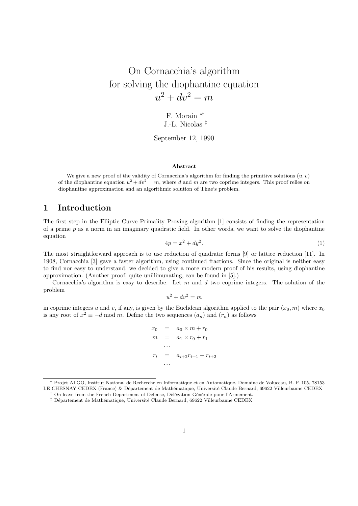# On Cornacchia's algorithm for solving the diophantine equation  $u^2 + dv^2 = m$

F. Morain ∗† J.-L. Nicolas ‡

September 12, 1990

#### Abstract

We give a new proof of the validity of Cornacchia's algorithm for finding the primitive solutions  $(u, v)$ of the diophantine equation  $u^2 + dv^2 = m$ , where d and m are two coprime integers. This proof relies on diophantine approximation and an algorithmic solution of Thue's problem.

# 1 Introduction

The first step in the Elliptic Curve Primality Proving algorithm [1] consists of finding the representation of a prime  $p$  as a norm in an imaginary quadratic field. In other words, we want to solve the diophantine equation

$$
4p = x^2 + dy^2. \tag{1}
$$

The most straightforward approach is to use reduction of quadratic forms [9] or lattice reduction [11]. In 1908, Cornacchia [3] gave a faster algorithm, using continued fractions. Since the original is neither easy to find nor easy to understand, we decided to give a more modern proof of his results, using diophantine approximation. (Another proof, quite unillimunating, can be found in [5].)

Cornacchia's algorithm is easy to describe. Let  $m$  and  $d$  two coprime integers. The solution of the problem

$$
u^2 + dv^2 = m
$$

in coprime integers u and v, if any, is given by the Euclidean algorithm applied to the pair  $(x_0, m)$  where  $x_0$ is any root of  $x^2 \equiv -d \mod m$ . Define the two sequences  $(a_n)$  and  $(r_n)$  as follows

$$
x_0 = a_0 \times m + r_0
$$
  
\n
$$
m = a_1 \times r_0 + r_1
$$
  
\n...  
\n
$$
r_i = a_{i+2}r_{i+1} + r_{i+2}
$$
  
\n...

<sup>∗</sup> Projet ALGO, Institut National de Recherche en Informatique et en Automatique, Domaine de Voluceau, B. P. 105, 78153 LE CHESNAY CEDEX (France) & Département de Mathématique, Université Claude Bernard, 69622 Villeurbanne CEDEX

On leave from the French Department of Defense, Délégation Générale pour l'Armement.

 $\ddagger$  Département de Mathématique, Université Claude Bernard, 69622 Villeurbanne CEDEX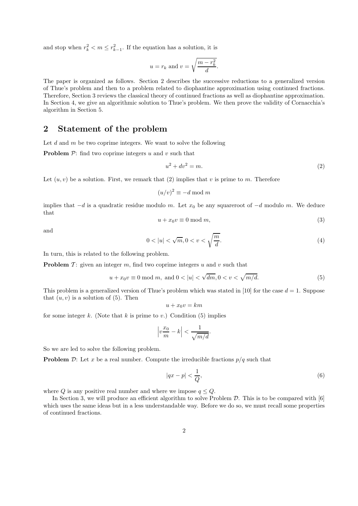and stop when  $r_k^2 < m \leq r_{k-1}^2$ . If the equation has a solution, it is

$$
u = r_k
$$
 and  $v = \sqrt{\frac{m - r_k^2}{d}}$ .

The paper is organized as follows. Section 2 describes the successive reductions to a generalized version of Thue's problem and then to a problem related to diophantine approximation using continued fractions. Therefore, Section 3 reviews the classical theory of continued fractions as well as diophantine approximation. In Section 4, we give an algorithmic solution to Thue's problem. We then prove the validity of Cornacchia's algorithm in Section 5.

### 2 Statement of the problem

Let  $d$  and  $m$  be two coprime integers. We want to solve the following

**Problem**  $P$ : find two coprime integers u and v such that

$$
u^2 + dv^2 = m.\t\t(2)
$$

Let  $(u, v)$  be a solution. First, we remark that (2) implies that v is prime to m. Therefore

$$
(u/v)^2 \equiv -d \bmod m
$$

implies that  $-d$  is a quadratic residue modulo m. Let  $x_0$  be any squareroot of  $-d$  modulo m. We deduce that

$$
u + x_0 v \equiv 0 \bmod m,\tag{3}
$$

and

$$
0 < |u| < \sqrt{m}, 0 < v < \sqrt{\frac{m}{d}}.\tag{4}
$$

In turn, this is related to the following problem.

**Problem**  $\mathcal{T}$ : given an integer  $m$ , find two coprime integers  $u$  and  $v$  such that

$$
u + x_0 v \equiv 0 \text{ mod } m, \text{ and } 0 < |u| < \sqrt{dm}, 0 < v < \sqrt{m/d}.\tag{5}
$$

This problem is a generalized version of Thue's problem which was stated in [10] for the case  $d = 1$ . Suppose that  $(u, v)$  is a solution of  $(5)$ . Then

$$
u + x_0 v = km
$$

for some integer k. (Note that k is prime to v.) Condition  $(5)$  implies

$$
\left|v\frac{x_0}{m} - k\right| < \frac{1}{\sqrt{m/d}}.
$$

So we are led to solve the following problem.

**Problem**  $D$ : Let x be a real number. Compute the irreducible fractions  $p/q$  such that

$$
|qx - p| < \frac{1}{Q},\tag{6}
$$

where Q is any positive real number and where we impose  $q \leq Q$ .

In Section 3, we will produce an efficient algorithm to solve Problem  $D$ . This is to be compared with  $[6]$ which uses the same ideas but in a less understandable way. Before we do so, we must recall some properties of continued fractions.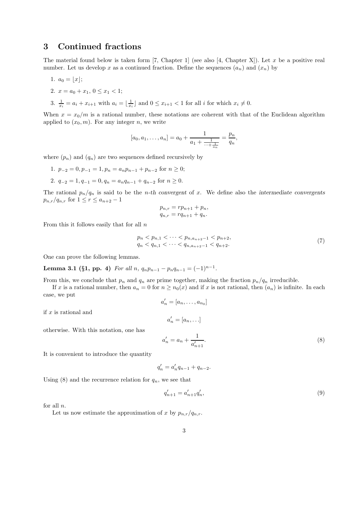## 3 Continued fractions

The material found below is taken form [7, Chapter 1] (see also [4, Chapter X]). Let x be a positive real number. Let us develop x as a continued fraction. Define the sequences  $(a_n)$  and  $(x_n)$  by

- 1.  $a_0 = |x|$ ;
- 2.  $x = a_0 + x_1, 0 \le x_1 < 1;$
- 3.  $\frac{1}{x_i} = a_i + x_{i+1}$  with  $a_i = \lfloor \frac{1}{x_i} \rfloor$  and  $0 \le x_{i+1} < 1$  for all i for which  $x_i \ne 0$ .

When  $x = x_0/m$  is a rational number, these notations are coherent with that of the Euclidean algorithm applied to  $(x_0, m)$ . For any integer n, we write

$$
[a_0, a_1, \ldots, a_n] = a_0 + \frac{1}{a_1 + \frac{1}{\ldots + \frac{1}{a_n}}} = \frac{p_n}{q_n},
$$

where  $(p_n)$  and  $(q_n)$  are two sequences defined recursively by

- 1.  $p_{-2} = 0, p_{-1} = 1, p_n = a_n p_{n-1} + p_{n-2}$  for  $n \ge 0$ ;
- 2.  $q_{-2} = 1, q_{-1} = 0, q_n = a_n q_{n-1} + q_{n-2}$  for  $n \ge 0$ .

The rational  $p_n/q_n$  is said to be the *n*-th convergent of x. We define also the intermediate convergents  $p_{n,r}/q_{n,r}$  for  $1 \leq r \leq a_{n+2}-1$ 

$$
p_{n,r} = rp_{n+1} + p_n,
$$
  

$$
q_{n,r} = rq_{n+1} + q_n.
$$

From this it follows easily that for all  $n$ 

$$
p_n < p_{n,1} < \cdots < p_{n,a_{n+2}-1} < p_{n+2},
$$
\n
$$
q_n < q_{n,1} < \cdots < q_{n,a_{n+2}-1} < q_{n+2}.\tag{7}
$$

One can prove the following lemmas.

Lemma 3.1 (§1, pp. 4) For all n,  $q_np_{n-1} - p_nq_{n-1} = (-1)^{n-1}$ .

From this, we conclude that  $p_n$  and  $q_n$  are prime together, making the fraction  $p_n/q_n$  irreducible.

If x is a rational number, then  $a_n = 0$  for  $n \ge n_0(x)$  and if x is not rational, then  $(a_n)$  is infinite. In each case, we put

$$
a'_n = [a_n, \ldots, a_{n_0}]
$$

if  $x$  is rational and

$$
a'_n = [a_n, \ldots]
$$

otherwise. With this notation, one has

$$
a'_n = a_n + \frac{1}{a'_{n+1}}.\t\t(8)
$$

It is convenient to introduce the quantity

$$
q'_n = a'_n q_{n-1} + q_{n-2}.
$$

Using (8) and the recurrence relation for  $q_n$ , we see that

$$
q'_{n+1} = a'_{n+1} q'_n,\tag{9}
$$

for all  $n$ .

Let us now estimate the approximation of x by  $p_{n,r}/q_{n,r}$ .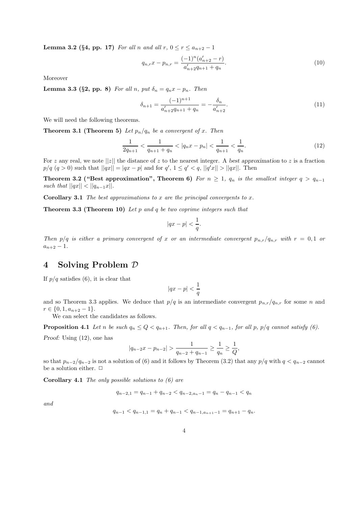**Lemma 3.2 (§4, pp. 17)** For all n and all  $r, 0 \le r \le a_{n+2} - 1$ 

$$
q_{n,r}x - p_{n,r} = \frac{(-1)^n (a'_{n+2} - r)}{a'_{n+2}q_{n+1} + q_n}.
$$
\n(10)

Moreover

Lemma 3.3 (§2, pp. 8) For all n, put  $\delta_n = q_n x - p_n$ . Then

$$
\delta_{n+1} = \frac{(-1)^{n+1}}{a'_{n+2}q_{n+1} + q_n} = -\frac{\delta_n}{a'_{n+2}}.\tag{11}
$$

We will need the following theorems.

**Theorem 3.1 (Theorem 5)** Let  $p_n/q_n$  be a convergent of x. Then

$$
\frac{1}{2q_{n+1}} < \frac{1}{q_{n+1} + q_n} < |q_n x - p_n| < \frac{1}{q_{n+1}} < \frac{1}{q_n}.\tag{12}
$$

For z any real, we note  $||z||$  the distance of z to the nearest integer. A best approximation to z is a fraction  $p/q \ (q > 0)$  such that  $||qx|| = |qx - p|$  and for  $q'$ ,  $1 \leq q' < q$ ,  $||q'x|| > ||qx||$ . Then

Theorem 3.2 ("Best approximation", Theorem 6) For  $n \geq 1$ ,  $q_n$  is the smallest integer  $q > q_{n-1}$ such that  $||qx|| < ||q_{n-1}x||$ .

**Corollary 3.1** The best approximations to x are the principal convergents to x.

**Theorem 3.3 (Theorem 10)** Let p and q be two coprime integers such that

$$
|qx - p| < \frac{1}{q}.
$$

Then  $p/q$  is either a primary convergent of x or an intermediate convergent  $p_{n,r}/q_{n,r}$  with  $r = 0,1$  or  $a_{n+2} - 1$ .

#### 4 Solving Problem D

If  $p/q$  satisfies (6), it is clear that

$$
|qx-p|<\frac{1}{q}
$$

and so Theorem 3.3 applies. We deduce that  $p/q$  is an intermediate convergent  $p_{n,r}/q_{n,r}$  for some n and  $r \in \{0, 1, a_{n+2} - 1\}.$ 

We can select the candidates as follows.

**Proposition 4.1** Let n be such  $q_n \leq Q < q_{n+1}$ . Then, for all  $q < q_{n-1}$ , for all p, p/q cannot satisfy (6).

Proof: Using (12), one has

$$
|q_{n-2}x - p_{n-2}| > \frac{1}{q_{n-2} + q_{n-1}} \ge \frac{1}{q_n} \ge \frac{1}{Q},
$$

so that  $p_{n-2}/q_{n-2}$  is not a solution of (6) and it follows by Theorem (3.2) that any  $p/q$  with  $q < q_{n-2}$  cannot be a solution either.  $\Box$ 

**Corollary 4.1** The only possible solutions to  $(6)$  are

$$
q_{n-2,1} = q_{n-1} + q_{n-2} < q_{n-2,a_n-1} = q_n - q_{n-1} < q_n
$$

and

$$
q_{n-1} < q_{n-1,1} = q_n + q_{n-1} < q_{n-1,a_{n+1}-1} = q_{n+1} - q_n.
$$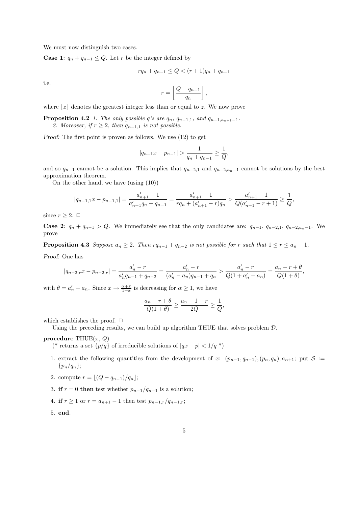We must now distinguish two cases.

**Case 1:**  $q_n + q_{n-1} \leq Q$ . Let r be the integer defined by

$$
rq_n + q_{n-1} \le Q < (r+1)q_n + q_{n-1}
$$

i.e.

$$
r = \left\lfloor \frac{Q - q_{n-1}}{q_n} \right\rfloor,
$$

where  $\lfloor z \rfloor$  denotes the greatest integer less than or equal to z. We now prove

**Proposition 4.2** 1. The only possible q's are  $q_n$ ,  $q_{n-1,1}$ , and  $q_{n-1,a_{n+1}-1}$ . 2. Moreover, if  $r \geq 2$ , then  $q_{n-1,1}$  is not possible.

Proof: The first point is proven as follows. We use (12) to get

$$
|q_{n-1}x - p_{n-1}| > \frac{1}{q_n + q_{n-1}} \ge \frac{1}{Q},
$$

and so  $q_{n-1}$  cannot be a solution. This implies that  $q_{n-2,1}$  and  $q_{n-2,a_{n}-1}$  cannot be solutions by the best approximation theorem.

On the other hand, we have (using (10))

$$
|q_{n-1,1}x - p_{n-1,1}| = \frac{a'_{n+1} - 1}{a'_{n+1}q_n + q_{n-1}} = \frac{a'_{n+1} - 1}{rq_n + (a'_{n+1} - r)q_n} > \frac{a'_{n+1} - 1}{Q(a'_{n+1} - r + 1)} \ge \frac{1}{Q},
$$

since  $r > 2$ .  $\Box$ 

**Case 2:**  $q_n + q_{n-1} > Q$ . We immediately see that the only candidates are:  $q_{n-1}, q_{n-2,1}, q_{n-2,a_n-1}$ . We prove

**Proposition 4.3** Suppose  $a_n \geq 2$ . Then  $rq_{n-1} + q_{n-2}$  is not possible for r such that  $1 \leq r \leq a_n - 1$ . Proof: One has

$$
|q_{n-2,r}x - p_{n-2,r}| = \frac{a'_n - r}{a'_n q_{n-1} + q_{n-2}} = \frac{a'_n - r}{(a'_n - a_n)q_{n-1} + q_n} > \frac{a'_n - r}{Q(1 + a'_n - a_n)} = \frac{a_n - r + \theta}{Q(1 + \theta)},
$$

with  $\theta = a'_n - a_n$ . Since  $x \to \frac{\alpha + x}{1 + x}$  is decreasing for  $\alpha \ge 1$ , we have

$$
\frac{a_n-r+\theta}{Q(1+\theta)} \ge \frac{a_n+1-r}{2Q} \ge \frac{1}{Q},
$$

which establishes the proof.  $\Box$ 

Using the preceding results, we can build up algorithm THUE that solves problem D.

procedure THUE $(x, Q)$ 

(\* returns a set  $\{p/q\}$  of irreducible solutions of  $|qx - p| < 1/q$  \*)

- 1. extract the following quantities from the development of x:  $(p_{n-1}, q_{n-1}), (p_n, q_n), a_{n+1}$ ; put  $S :=$  $\{p_n/q_n\};$
- 2. compute  $r = |(Q q_{n-1})/q_n|;$
- 3. if  $r = 0$  then test whether  $p_{n-1}/q_{n-1}$  is a solution;
- 4. if  $r \ge 1$  or  $r = a_{n+1} 1$  then test  $p_{n-1,r}/q_{n-1,r}$ ;
- 5. end.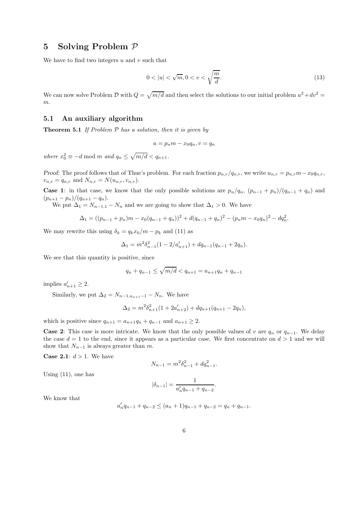### 5 Solving Problem P

We have to find two integers  $u$  and  $v$  such that

$$
0 < |u| < \sqrt{m}, 0 < v < \sqrt{\frac{m}{d}}.\tag{13}
$$

We can now solve Problem  $\mathcal{D}$  with  $Q = \sqrt{m/d}$  and then select the solutions to our initial problem  $u^2 + dv^2 =$ m.

#### 5.1 An auxiliary algorithm

**Theorem 5.1** If Problem  $P$  has a solution, then it is given by

$$
u = p_n m - x_0 q_n, v = q_n
$$

where  $x_0^2 \equiv -d \mod m$  and  $q_n \leq \sqrt{m/d} < q_{n+1}$ .

Proof: The proof follows that of Thue's problem. For each fraction  $p_{n,r}/q_{n,r}$ , we write  $u_{n,r} = p_{n,r}m - x_0q_{n,r}$ ,  $v_{n,r} = q_{n,r}$  and  $N_{n,r} = N(u_{n,r}, v_{n,r}).$ 

**Case 1:** in that case, we know that the only possible solutions are  $p_n/q_n$ ,  $(p_{n-1} + p_n)/(q_{n-1} + q_n)$  and  $(p_{n+1}-p_n)/(q_{n+1}-q_n).$ 

We put  $\Delta_1 = N_{n-1,1} - N_n$  and we are going to show that  $\Delta_1 > 0$ . We have

$$
\Delta_1 = ((p_{n-1} + p_n)m - x_0(q_{n-1} + q_n))^2 + d(q_{n-1} + q_n)^2 - (p_nm - x_0q_n)^2 - dq_n^2.
$$

We may rewrite this using  $\delta_k = q_k x_0/m - p_k$  and (11) as

$$
\Delta_1 = m^2 \delta_{n-1}^2 (1 - 2/a'_{n+1}) + dq_{n-1} (q_{n-1} + 2q_n).
$$

We see that this quantity is positive, since

$$
q_n + q_{n-1} \le \sqrt{m/d} < q_{n+1} = a_{n+1}q_n + q_{n-1}
$$

implies  $a'_{n+1} \geq 2$ .

Similarly, we put  $\Delta_2 = N_{n-1,q_{n+1}-1} - N_n$ . We have

$$
\Delta_2 = m^2 \delta_{n+1}^2 (1 + 2a'_{n+2}) + dq_{n+1} (q_{n+1} - 2q_n),
$$

which is positive since  $q_{n+1} = a_{n+1}q_n + q_{n-1}$  and  $a_{n+1} \ge 2$ .

**Case 2:** This case is more intricate. We know that the only possible values of v are  $q_n$  or  $q_{n-1}$ . We delay the case  $d = 1$  to the end, since it appears as a particular case. We first concentrate on  $d > 1$  and we will show that  $N_{n-1}$  is always greater than m.

**Case 2.1**:  $d > 1$ . We have

$$
N_{n-1} = m^2 \delta_{n-1}^2 + d q_{n-1}^2.
$$

Using (11), one has

$$
|\delta_{n-1}| = \frac{1}{a'_n q_{n-1} + q_{n-2}}
$$

.

We know that

$$
a'_n q_{n-1} + q_{n-2} \le (a_n + 1)q_{n-1} + q_{n-2} = q_n + q_{n-1}.
$$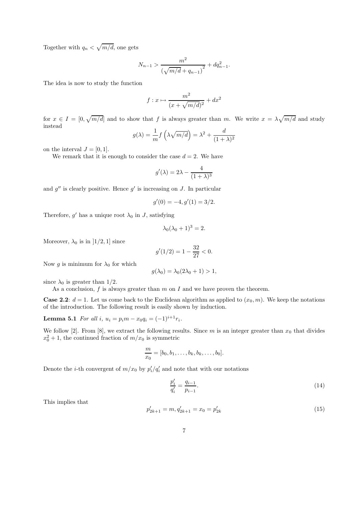Together with  $q_n < \sqrt{m/d}$ , one gets

$$
N_{n-1} > \frac{m^2}{\left(\sqrt{m/d} + q_{n-1}\right)^2} + dq_{n-1}^2.
$$

The idea is now to study the function

$$
f: x \mapsto \frac{m^2}{(x + \sqrt{m/d})^2} + dx^2
$$

for  $x \in I = [0, \sqrt{m/d}]$  and to show that f is always greater than m. We write  $x = \lambda \sqrt{m/d}$  and study instead

$$
g(\lambda) = \frac{1}{m} f\left(\lambda \sqrt{m/d}\right) = \lambda^2 + \frac{d}{(1+\lambda)^2}
$$

on the interval  $J = [0, 1]$ .

We remark that it is enough to consider the case  $d = 2$ . We have

$$
g'(\lambda) = 2\lambda - \frac{4}{(1+\lambda)^3}
$$

and  $g''$  is clearly positive. Hence  $g'$  is increasing on J. In particular

$$
g'(0) = -4, g'(1) = 3/2.
$$

Therefore, g' has a unique root  $\lambda_0$  in J, satisfying

$$
\lambda_0(\lambda_0+1)^3=2.
$$

Moreover,  $\lambda_0$  is in  $\vert 1/2, 1 \vert$  since

$$
g'(1/2) = 1 - \frac{32}{27} < 0.
$$

Now g is minimum for  $\lambda_0$  for which

$$
g(\lambda_0) = \lambda_0(2\lambda_0 + 1) > 1,
$$

since  $\lambda_0$  is greater than 1/2.

As a conclusion,  $f$  is always greater than  $m$  on  $I$  and we have proven the theorem.

**Case 2.2:**  $d = 1$ . Let us come back to the Euclidean algorithm as applied to  $(x_0, m)$ . We keep the notations of the introduction. The following result is easily shown by induction.

**Lemma 5.1** For all i,  $u_i = p_i m - x_0 q_i = (-1)^{i+1} r_i$ .

We follow [2]. From [8], we extract the following results. Since  $m$  is an integer greater than  $x_0$  that divides  $x_0^2 + 1$ , the continued fraction of  $m/x_0$  is symmetric

$$
\frac{m}{x_0}=[b_0,b_1,\ldots,b_k,b_k,\ldots,b_0].
$$

Denote the *i*-th convergent of  $m/x_0$  by  $p'_i/q'_i$  and note that with our notations

$$
\frac{p_i'}{q_i'} = \frac{q_{i-1}}{p_{i-1}}.\tag{14}
$$

This implies that

$$
p'_{2k+1} = m, q'_{2k+1} = x_0 = p'_{2k}
$$
\n<sup>(15)</sup>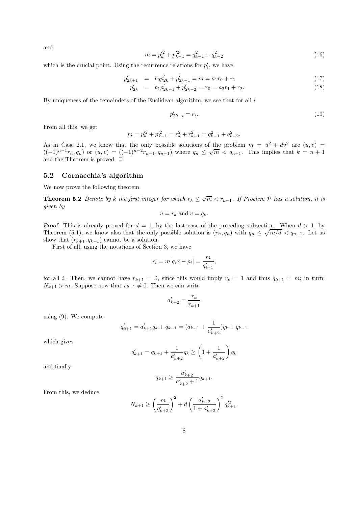and

$$
m = p_k'^2 + p_{k-1}'^2 = q_{k-1}^2 + q_{k-2}^2 \tag{16}
$$

which is the crucial point. Using the recurrence relations for  $p'_i$ , we have

$$
p'_{2k+1} = b_0 p'_{2k} + p'_{2k-1} = m = a_1 r_0 + r_1 \tag{17}
$$

$$
p'_{2k} = b_1 p'_{2k-1} + p'_{2k-2} = x_0 = a_2 r_1 + r_2. \tag{18}
$$

By uniqueness of the remainders of the Euclidean algorithm, we see that for all  $i$ 

$$
p'_{2k-i} = r_i. \tag{19}
$$

From all this, we get

$$
m = p_k'^2 + p_{k-1}'^2 = r_k^2 + r_{k-1}^2 = q_{k-1}^2 + q_{k-2}^2.
$$

As in Case 2.1, we know that the only possible solutions of the problem  $m = u^2 + dv^2$  are  $(u, v)$  $((-1)^{n-1}r_n, q_n)$  or  $(u, v) = ((-1)^{n-2}r_{n-1}, q_{n-1})$  where  $q_n \leq \sqrt{m} < q_{n+1}$ . This implies that  $k = n + 1$ and the Theorem is proved.  $\Box$ 

#### 5.2 Cornacchia's algorithm

We now prove the following theorem.

**Theorem 5.2** Denote by k the first integer for which  $r_k \leq \sqrt{m} < r_{k-1}$ . If Problem P has a solution, it is given by

$$
u = r_k \text{ and } v = q_k.
$$

Proof: This is already proved for  $d = 1$ , by the last case of the preceding subsection. When  $d > 1$ , by Theorem (5.1), we know also that the only possible solution is  $(r_n, q_n)$  with  $q_n \leq \sqrt{m/d} < q_{n+1}$ . Let us show that  $(r_{k+1}, q_{k+1})$  cannot be a solution.

First of all, using the notations of Section 3, we have

$$
r_i = m|q_i x - p_i| = \frac{m}{q'_{i+1}},
$$

for all i. Then, we cannot have  $r_{k+1} = 0$ , since this would imply  $r_k = 1$  and thus  $q_{k+1} = m$ ; in turn:  $N_{k+1} > m$ . Suppose now that  $r_{k+1} \neq 0$ . Then we can write

$$
a'_{k+2} = \frac{r_k}{r_{k+1}}
$$

using (9). We compute

$$
q'_{k+1} = a'_{k+1}q_k + q_{k-1} = (a_{k+1} + \frac{1}{a'_{k+2}})q_k + q_{k-1}
$$

which gives

$$
q'_{k+1} = q_{k+1} + \frac{1}{a'_{k+2}} q_k \ge \left(1 + \frac{1}{a'_{k+2}}\right) q_k
$$

and finally

$$
q_{k+1} \ge \frac{a'_{k+2}}{a'_{k+2} + 1} q_{k+1}.
$$

From this, we deduce

$$
N_{k+1} \ge \left(\frac{m}{q'_{k+2}}\right)^2 + d\left(\frac{a'_{k+2}}{1 + a'_{k+2}}\right)^2 q'^2_{k+1}.
$$